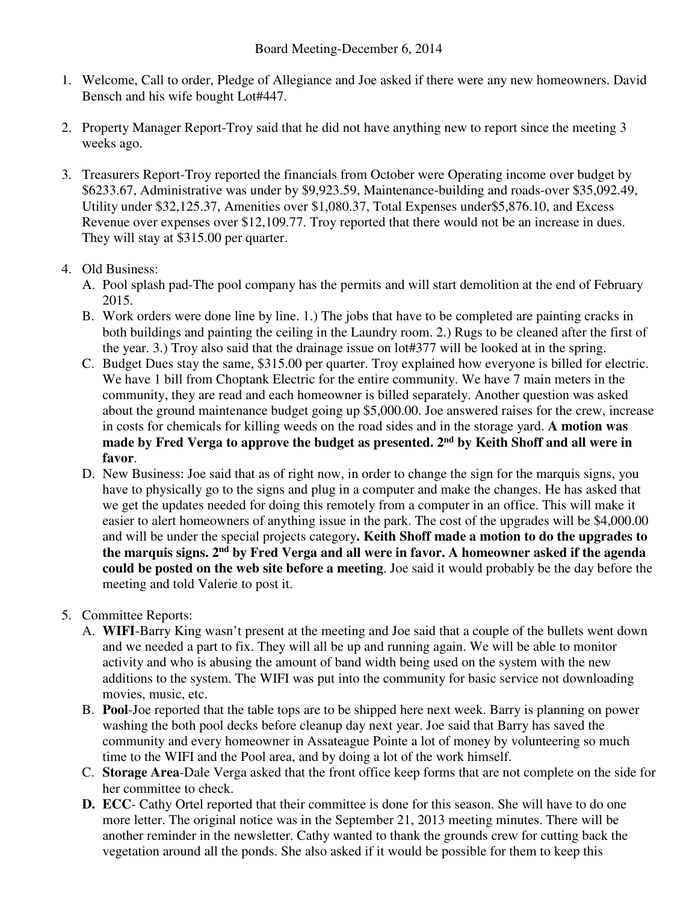- 1. Welcome, Call to order, Pledge of Allegiance and Joe asked if there were any new homeowners. David Bensch and his wife bought Lot#447.
- 2. Property Manager Report-Troy said that he did not have anything new to report since the meeting 3 weeks ago.
- 3. Treasurers Report-Troy reported the financials from October were Operating income over budget by \$6233.67, Administrative was under by \$9,923.59, Maintenance-building and roads-over \$35,092.49, Utility under \$32,125.37, Amenities over \$1,080.37, Total Expenses under\$5,876.10, and Excess Revenue over expenses over \$12,109.77. Troy reported that there would not be an increase in dues. They will stay at \$315.00 per quarter.

## 4. Old Business:

- A. Pool splash pad-The pool company has the permits and will start demolition at the end of February 2015.
- B. Work orders were done line by line. 1.) The jobs that have to be completed are painting cracks in both buildings and painting the ceiling in the Laundry room. 2.) Rugs to be cleaned after the first of the year. 3.) Troy also said that the drainage issue on lot#377 will be looked at in the spring.
- C. Budget Dues stay the same, \$315.00 per quarter. Troy explained how everyone is billed for electric. We have 1 bill from Choptank Electric for the entire community. We have 7 main meters in the community, they are read and each homeowner is billed separately. Another question was asked about the ground maintenance budget going up \$5,000.00. Joe answered raises for the crew, increase in costs for chemicals for killing weeds on the road sides and in the storage yard. **A motion was made by Fred Verga to approve the budget as presented. 2nd by Keith Shoff and all were in favor**.
- D. New Business: Joe said that as of right now, in order to change the sign for the marquis signs, you have to physically go to the signs and plug in a computer and make the changes. He has asked that we get the updates needed for doing this remotely from a computer in an office. This will make it easier to alert homeowners of anything issue in the park. The cost of the upgrades will be \$4,000.00 and will be under the special projects category**. Keith Shoff made a motion to do the upgrades to the marquis signs. 2nd by Fred Verga and all were in favor. A homeowner asked if the agenda could be posted on the web site before a meeting**. Joe said it would probably be the day before the meeting and told Valerie to post it.

## 5. Committee Reports:

- A. **WIFI**-Barry King wasn't present at the meeting and Joe said that a couple of the bullets went down and we needed a part to fix. They will all be up and running again. We will be able to monitor activity and who is abusing the amount of band width being used on the system with the new additions to the system. The WIFI was put into the community for basic service not downloading movies, music, etc.
- B. **Pool**-Joe reported that the table tops are to be shipped here next week. Barry is planning on power washing the both pool decks before cleanup day next year. Joe said that Barry has saved the community and every homeowner in Assateague Pointe a lot of money by volunteering so much time to the WIFI and the Pool area, and by doing a lot of the work himself.
- C. **Storage Area**-Dale Verga asked that the front office keep forms that are not complete on the side for her committee to check.
- **D. ECC** Cathy Ortel reported that their committee is done for this season. She will have to do one more letter. The original notice was in the September 21, 2013 meeting minutes. There will be another reminder in the newsletter. Cathy wanted to thank the grounds crew for cutting back the vegetation around all the ponds. She also asked if it would be possible for them to keep this